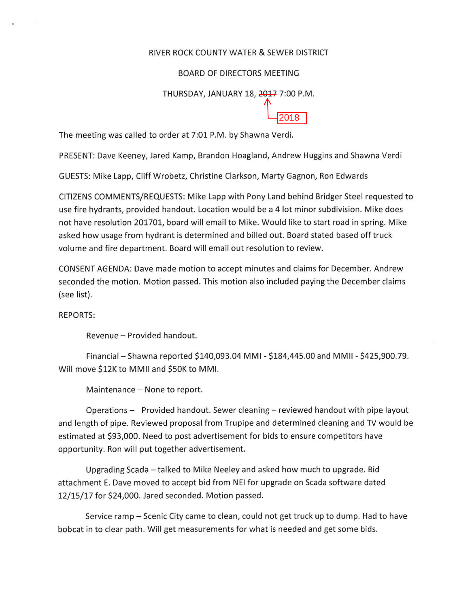## RIVER ROCK COUNTY WATER & SEWER DISTRICT

## BOARD OF DIRECTORS MEETING

## THURSDAY, JANUARY 18, 2017 7:00 P.M.

2018

The meeting was called to order at 7:01 P.M. by Shawna Verdi.

PRESENT: Dave Keeney, Jared Kamp, Brandon Hoagland, Andrew Huggins and Shawna Verdi

GUESTS: Mike Lapp, Cliff Wrobetz, Christine Clarkson, Marty Gagnon, Ron Edwards

CITIZENS COMMENTS/REQUESTS: Mike Lapp with Pony Land behind Bridger Steel requested to use fire hydrants, provided handout. Location would be a 4 lot minor subdivision. Mike does not have resolution 201701, board will email to Mike. Would like to start road in spring. Mike asked how usage from hydrant is determined and billed out. Board stated based off truck volume and fire department. Board will email out resolution to review.

CONSENT AGENDA: Dave made motion to accept minutes and claims for December. Andrew seconded the motion. Motion passed. This motion also included paying the December claims (see list).

## REPORTS:

Revenue- Provided handout.

Financial - Shawna reported \$140,093.04 MMI- \$184,445.00 and MMII- \$425,900.79. Will move \$12K to MMII and \$50K to MMI.

Maintenance - None to report.

Operations - Provided handout. Sewer cleaning - reviewed handout with pipe layout and length of pipe. Reviewed proposal from Trupipe and determined cleaning and TV would be estimated at \$93,000. Need to post advertisement for bids to ensure competitors have opportunity. Ron will put together advertisement.

Upgrading Scada- talked to Mike Neeley and asked how much to upgrade. Bid attachment E. Dave moved to accept bid from NEI for upgrade on Scada software dated 12/15/17 for \$24,000. Jared seconded. Motion passed.

Service ramp- Scenic City came to clean, could not get truck up to dump. Had to have bobcat in to clear path. Will get measurements for what is needed and get some bids.